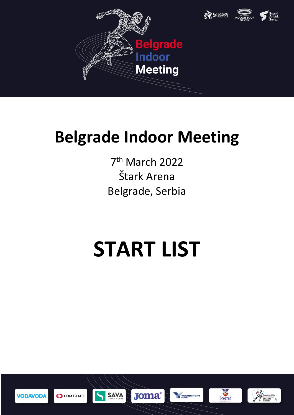

## **Belgrade Indoor Meeting**

7 th March 2022 Štark Arena Belgrade, Serbia

## **START LIST**





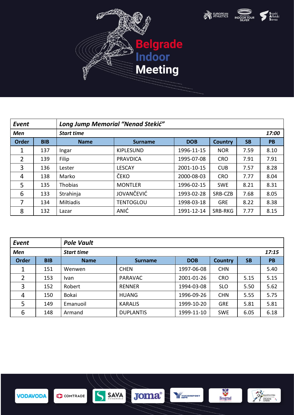





| Event        |            | Long Jump Memorial "Nenad Stekić" |                   |            |                |           |           |
|--------------|------------|-----------------------------------|-------------------|------------|----------------|-----------|-----------|
| Men          |            | <b>Start time</b>                 |                   |            |                |           | 17:00     |
| <b>Order</b> | <b>BIB</b> | <b>Name</b>                       | <b>Surname</b>    | <b>DOB</b> | <b>Country</b> | <b>SB</b> | <b>PB</b> |
| 1            | 137        | Ingar                             | <b>KIPLESUND</b>  | 1996-11-15 | <b>NOR</b>     | 7.59      | 8.10      |
| 2            | 139        | Filip                             | <b>PRAVDICA</b>   | 1995-07-08 | <b>CRO</b>     | 7.91      | 7.91      |
| 3            | 136        | Lester                            | <b>LESCAY</b>     | 2001-10-15 | <b>CUB</b>     | 7.57      | 8.28      |
| 4            | 138        | Marko                             | ČEKO              | 2000-08-03 | <b>CRO</b>     | 7.77      | 8.04      |
| 5            | 135        | <b>Thobias</b>                    | <b>MONTLER</b>    | 1996-02-15 | <b>SWE</b>     | 8.21      | 8.31      |
| 6            | 133        | Strahinja                         | <b>JOVANČEVIĆ</b> | 1993-02-28 | SRB-CZB        | 7.68      | 8.05      |
| 7            | 134        | <b>Miltiadis</b>                  | <b>TENTOGLOU</b>  | 1998-03-18 | <b>GRE</b>     | 8.22      | 8.38      |
| 8            | 132        | Lazar                             | ANIĆ              | 1991-12-14 | SRB-RKG        | 7.77      | 8.15      |

| Event          |            | <b>Pole Vault</b> |                  |            |                |           |           |
|----------------|------------|-------------------|------------------|------------|----------------|-----------|-----------|
| <b>Men</b>     |            | <b>Start time</b> |                  |            |                |           | 17:15     |
| <b>Order</b>   | <b>BIB</b> | <b>Name</b>       | <b>Surname</b>   | <b>DOB</b> | <b>Country</b> | <b>SB</b> | <b>PB</b> |
|                | 151        | Wenwen            | <b>CHEN</b>      | 1997-06-08 | <b>CHN</b>     |           | 5.40      |
| $\overline{2}$ | 153        | Ivan              | <b>PARAVAC</b>   | 2001-01-26 | <b>CRO</b>     | 5.15      | 5.15      |
| 3              | 152        | Robert            | <b>RENNER</b>    | 1994-03-08 | <b>SLO</b>     | 5.50      | 5.62      |
| 4              | 150        | <b>Bokai</b>      | <b>HUANG</b>     | 1996-09-26 | <b>CHN</b>     | 5.55      | 5.75      |
| 5              | 149        | Emanuoil          | <b>KARALIS</b>   | 1999-10-20 | <b>GRE</b>     | 5.81      | 5.81      |
| 6              | 148        | Armand            | <b>DUPLANTIS</b> | 1999-11-10 | <b>SWE</b>     | 6.05      | 6.18      |

 $\overline{S}$ 

COMTRADE

**VODAVODA** 

**SAVA** 



Beograd

**THE YUGOIMPORT**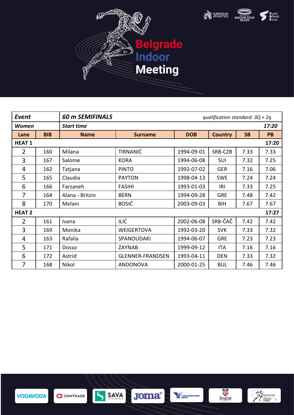





| Event          |            | <b>60 m SEMIFINALS</b> |                         | qualification standard: $3Q + 2q$ |                |           |           |  |
|----------------|------------|------------------------|-------------------------|-----------------------------------|----------------|-----------|-----------|--|
| <b>Women</b>   |            | <b>Start time</b>      |                         |                                   |                |           | 17:20     |  |
| Lane           | <b>BIB</b> | <b>Name</b>            | <b>Surname</b>          | <b>DOB</b>                        | <b>Country</b> | <b>SB</b> | <b>PB</b> |  |
| <b>HEAT1</b>   |            |                        |                         |                                   |                |           | 17:20     |  |
| 2              | 160        | Milana                 | <b>TIRNANIĆ</b>         | 1994-09-01                        | SRB-CZB        | 7.33      | 7.33      |  |
| 3              | 167        | Salome                 | <b>KORA</b>             | 1994-06-08                        | SUI            | 7.32      | 7.25      |  |
| 4              | 162        | Tatjana                | <b>PINTO</b>            | 1992-07-02                        | <b>GER</b>     | 7.16      | 7.06      |  |
| 5              | 165        | Claudia                | <b>PAYTON</b>           | 1998-04-13                        | <b>SWE</b>     | 7.24      | 7.24      |  |
| 6              | 166        | Farzaneh               | <b>FASIHI</b>           | 1993-01-03                        | IRI            | 7.33      | 7.25      |  |
| 7              | 164        | Alana - Britzin        | <b>BERN</b>             | 1994-09-28                        | <b>GRE</b>     | 7.48      | 7.42      |  |
| 8              | 170        | Melani                 | <b>BOSIĆ</b>            | 2003-09-03                        | BIH            | 7.67      | 7.67      |  |
| <b>HEAT 2</b>  |            |                        |                         |                                   |                |           | 17:27     |  |
| $\overline{2}$ | 161        | Ivana                  | ILIĆ                    | 2002-06-08                        | SRB-ČAČ        | 7.42      | 7.42      |  |
| 3              | 169        | Monika                 | <b>WEIGERTOVA</b>       | 1992-03-20                        | <b>SVK</b>     | 7.33      | 7.32      |  |
| 4              | 163        | Rafalia                | SPANOUDAKI              | 1994-06-07                        | <b>GRE</b>     | 7.23      | 7.23      |  |
| 5              | 171        | Dosso                  | ZAYNAB                  | 1999-09-12                        | ITA            | 7.16      | 7.16      |  |
| 6              | 172        | Astrid                 | <b>GLENNER-FRANDSEN</b> | 1993-04-11                        | <b>DEN</b>     | 7.33      | 7.32      |  |
| 7              | 168        | Nikol                  | <b>ANDONOVA</b>         | 2000-01-25                        | <b>BUL</b>     | 7.46      | 7.46      |  |



SAVA  $\overline{\mathcal{S}}$ COMTRADE





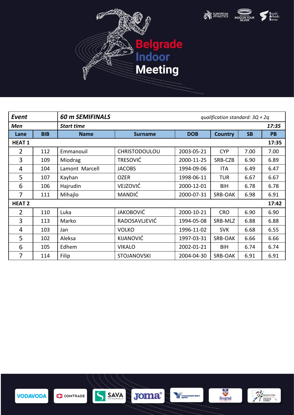





| <b>Event</b>   |            | <b>60 m SEMIFINALS</b> |                      | qualification standard: $3Q + 2q$ |                |           |           |
|----------------|------------|------------------------|----------------------|-----------------------------------|----------------|-----------|-----------|
| Men            |            | <b>Start time</b>      |                      |                                   |                |           | 17:35     |
| Lane           | <b>BIB</b> | <b>Name</b>            | <b>Surname</b>       | <b>DOB</b>                        | <b>Country</b> | <b>SB</b> | <b>PB</b> |
| <b>HEAT1</b>   |            |                        |                      |                                   |                |           | 17:35     |
| 2              | 112        | Emmanouil              | <b>CHRISTODOULOU</b> | 2003-05-21                        | <b>CYP</b>     | 7.00      | 7.00      |
| 3              | 109        | Miodrag                | <b>TRESOVIĆ</b>      | 2000-11-25                        | SRB-CZB        | 6.90      | 6.89      |
| 4              | 104        | Lamont Marcell         | <b>JACOBS</b>        | 1994-09-06                        | <b>ITA</b>     | 6.49      | 6.47      |
| 5              | 107        | Kayhan                 | <b>OZER</b>          | 1998-06-11                        | <b>TUR</b>     | 6.67      | 6.67      |
| 6              | 106        | Hajrudin               | VEJZOVIĆ             | 2000-12-01                        | <b>BIH</b>     | 6.78      | 6.78      |
| 7              | 111        | Mihajlo                | <b>MANDIĆ</b>        | 2000-07-31                        | SRB-OAK        | 6.98      | 6.91      |
| <b>HEAT 2</b>  |            |                        |                      |                                   |                |           | 17:42     |
| $\overline{2}$ | 110        | Luka                   | <b>JAKOBOVIĆ</b>     | 2000-10-21                        | <b>CRO</b>     | 6.90      | 6.90      |
| 3              | 113        | Marko                  | RADOSAVLJEVIĆ        | 1994-05-08                        | SRB-MLZ        | 6.88      | 6.88      |
| 4              | 103        | Jan                    | <b>VOLKO</b>         | 1996-11-02                        | <b>SVK</b>     | 6.68      | 6.55      |
| 5              | 102        | Aleksa                 | KIJANOVIĆ            | 1997-03-31                        | SRB-OAK        | 6.66      | 6.66      |
| 6              | 105        | Edhem                  | <b>VIKALO</b>        | 2002-01-21                        | <b>BIH</b>     | 6.74      | 6.74      |
| 7              | 114        | Filip                  | <b>STOJANOVSKI</b>   | 2004-04-30                        | SRB-OAK        | 6.91      | 6.91      |

**THE YUGOIMPORT** 



 $\overline{S}$ 



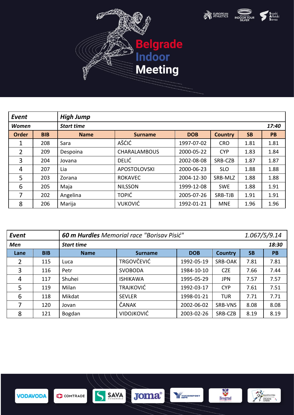





| <b>Event</b> |            | <b>High Jump</b>  |                     |            |                |           |           |
|--------------|------------|-------------------|---------------------|------------|----------------|-----------|-----------|
| <b>Women</b> |            | <b>Start time</b> |                     |            |                |           | 17:40     |
| <b>Order</b> | <b>BIB</b> | <b>Name</b>       | <b>Surname</b>      | <b>DOB</b> | <b>Country</b> | <b>SB</b> | <b>PB</b> |
| 1            | 208        | Sara              | AŠĆIĆ               | 1997-07-02 | <b>CRO</b>     | 1.81      | 1.81      |
| 2            | 209        | Despoina          | <b>CHARALAMBOUS</b> | 2000-05-22 | <b>CYP</b>     | 1.83      | 1.84      |
| 3            | 204        | Jovana            | <b>DELIĆ</b>        | 2002-08-08 | SRB-CZB        | 1.87      | 1.87      |
| 4            | 207        | Lia               | <b>APOSTOLOVSKI</b> | 2000-06-23 | <b>SLO</b>     | 1.88      | 1.88      |
| 5            | 203        | Zorana            | <b>ROKAVEC</b>      | 2004-12-30 | SRB-MLZ        | 1.88      | 1.88      |
| 6            | 205        | Maja              | <b>NILSSON</b>      | 1999-12-08 | <b>SWE</b>     | 1.88      | 1.91      |
| 7            | 202        | Angelina          | <b>TOPIĆ</b>        | 2005-07-26 | SRB-TJB        | 1.91      | 1.91      |
| 8            | 206        | Marija            | <b>VUKOVIĆ</b>      | 1992-01-21 | <b>MNE</b>     | 1.96      | 1.96      |

| Event          |            |                   | 60 m Hurdles Memorial race "Borisav Pisić" |            |                |           |           |
|----------------|------------|-------------------|--------------------------------------------|------------|----------------|-----------|-----------|
| <b>Men</b>     |            | <b>Start time</b> |                                            |            |                |           |           |
| Lane           | <b>BIB</b> | <b>Name</b>       | <b>Surname</b>                             | <b>DOB</b> | <b>Country</b> | <b>SB</b> | <b>PB</b> |
| 2              | 115        | Luca              | <b>TRGOVČEVIĆ</b>                          | 1992-05-19 | SRB-OAK        | 7.81      | 7.81      |
| 3              | 116        | Petr              | <b>SVOBODA</b>                             | 1984-10-10 | <b>CZE</b>     | 7.66      | 7.44      |
| $\overline{4}$ | 117        | Shuhei            | <b>ISHIKAWA</b>                            | 1995-05-29 | <b>JPN</b>     | 7.57      | 7.57      |
| 5              | 119        | Milan             | <b>TRAJKOVIĆ</b>                           | 1992-03-17 | <b>CYP</b>     | 7.61      | 7.51      |
| 6              | 118        | Mikdat            | <b>SEVLER</b>                              | 1998-01-21 | <b>TUR</b>     | 7.71      | 7.71      |
| 7              | 120        | Jovan             | ČANAK                                      | 2002-06-02 | SRB-VNS        | 8.08      | 8.08      |
| 8              | 121        | Bogdan            | <b>VIDOJKOVIĆ</b>                          | 2003-02-26 | SRB-CZB        | 8.19      | 8.19      |

**WE AVE OF THE SPOKE THE SPOKE THAT SPOKER** 





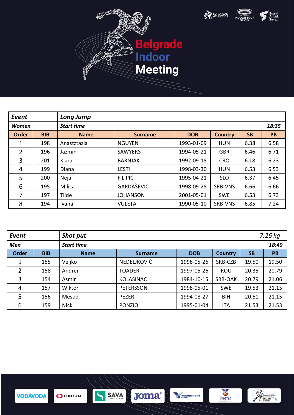

Beograd

**THE YUGOIMPORT** 

Republika Srbija<br>
MIADINE DISPORTA





| <b>Event</b>   |            | <b>Long Jump</b>  |                 |            |                |           |           |
|----------------|------------|-------------------|-----------------|------------|----------------|-----------|-----------|
| <b>Women</b>   |            | <b>Start time</b> |                 |            |                |           | 18:35     |
| <b>Order</b>   | <b>BIB</b> | <b>Name</b>       | <b>Surname</b>  | <b>DOB</b> | <b>Country</b> | <b>SB</b> | <b>PB</b> |
| 1              | 198        | Anastztazia       | <b>NGUYEN</b>   | 1993-01-09 | <b>HUN</b>     | 6.38      | 6.58      |
| $\overline{2}$ | 196        | Jazmin            | <b>SAWYERS</b>  | 1994-05-21 | <b>GBR</b>     | 6.46      | 6.71      |
| 3              | 201        | Klara             | <b>BARNJAK</b>  | 1992-09-18 | <b>CRO</b>     | 6.18      | 6.23      |
| 4              | 199        | Diana             | <b>LESTI</b>    | 1998-03-30 | <b>HUN</b>     | 6.53      | 6.53      |
| 5              | 200        | Neja              | <b>FILIPIČ</b>  | 1995-04-21 | <b>SLO</b>     | 6.37      | 6.45      |
| 6              | 195        | Milica            | GARDAŠEVIĆ      | 1998-09-28 | SRB-VNS        | 6.66      | 6.66      |
| 7              | 197        | Tilde             | <b>JOHANSON</b> | 2001-05-01 | <b>SWE</b>     | 6.53      | 6.73      |
| 8              | 194        | Ivana             | <b>VULETA</b>   | 1990-05-10 | SRB-VNS        | 6.85      | 7.24      |

| Event        |            | <b>Shot put</b>   |                  |            |                |           |       |  |
|--------------|------------|-------------------|------------------|------------|----------------|-----------|-------|--|
| <b>Men</b>   |            | <b>Start time</b> |                  |            |                |           | 18:40 |  |
| <b>Order</b> | <b>BIB</b> | <b>Name</b>       | <b>Surname</b>   | <b>DOB</b> | <b>Country</b> | <b>SB</b> | PB    |  |
| 1            | 155        | Veljko            | NEDELJKOVIĆ      | 1998-05-26 | SRB-CZB        | 19.50     | 19.50 |  |
| 2            | 158        | Andrei            | <b>TOADER</b>    | 1997-05-26 | ROU            | 20.35     | 20.79 |  |
| 3            | 154        | Asmir             | KOLAŠINAC        | 1984-10-15 | SRB-OAK        | 20.79     | 21.06 |  |
| 4            | 157        | Wiktor            | <b>PETERSSON</b> | 1998-05-01 | <b>SWE</b>     | 19.53     | 21.15 |  |
| 5            | 156        | Mesud             | <b>PEZER</b>     | 1994-08-27 | <b>BIH</b>     | 20.51     | 21.15 |  |
| 6            | 159        | <b>Nick</b>       | <b>PONZIO</b>    | 1995-01-04 | <b>ITA</b>     | 21.53     | 21.53 |  |

**Joma**®



 $\overline{S}$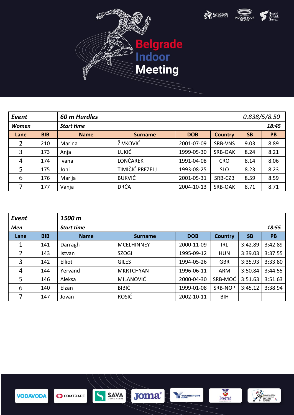

Beograd

**THE YUGOIMPORT** 

Republika Srbija<br>
MINISTARTIVO<br>
PISPORTA<br>
SPORTA





| Event        |            | 60 m Hurdles      |                 |            |                |           | 0.838/5/8.50 |  |
|--------------|------------|-------------------|-----------------|------------|----------------|-----------|--------------|--|
| <b>Women</b> |            | <b>Start time</b> |                 |            |                |           | 18:45        |  |
| Lane         | <b>BIB</b> | <b>Name</b>       | <b>Surname</b>  | <b>DOB</b> | <b>Country</b> | <b>SB</b> | PB           |  |
| 2            | 210        | Marina            | ŽIVKOVIĆ        | 2001-07-09 | SRB-VNS        | 9.03      | 8.89         |  |
| 3            | 173        | Anja              | LUKIĆ           | 1999-05-30 | <b>SRB-OAK</b> | 8.24      | 8.21         |  |
| 4            | 174        | Ivana             | <b>LONČAREK</b> | 1991-04-08 | <b>CRO</b>     | 8.14      | 8.06         |  |
| 5            | 175        | Joni              | TIMIČIĆ PREZELJ | 1993-08-25 | <b>SLO</b>     | 8.23      | 8.23         |  |
| 6            | 176        | Marija            | <b>BUKVIĆ</b>   | 2001-05-31 | SRB-CZB        | 8.59      | 8.59         |  |
| 7            | 177        | Vanja             | <b>DRČA</b>     | 2004-10-13 | SRB-OAK        | 8.71      | 8.71         |  |

| <b>Event</b> |            | 1500 m            |                   |            |                |           |         |
|--------------|------------|-------------------|-------------------|------------|----------------|-----------|---------|
| <b>Men</b>   |            | <b>Start time</b> |                   |            |                |           | 18:55   |
| Lane         | <b>BIB</b> | <b>Name</b>       | <b>Surname</b>    | <b>DOB</b> | <b>Country</b> | <b>SB</b> | PB      |
| 1            | 141        | Darragh           | <b>MCELHINNEY</b> | 2000-11-09 | <b>IRL</b>     | 3:42.89   | 3:42.89 |
| 2            | 143        | Istvan            | <b>SZOGI</b>      | 1995-09-12 | <b>HUN</b>     | 3:39.03   | 3:37.55 |
| 3            | 142        | Elliot            | <b>GILES</b>      | 1994-05-26 | <b>GBR</b>     | 3:35.93   | 3:33.80 |
| 4            | 144        | Yervand           | <b>MKRTCHYAN</b>  | 1996-06-11 | <b>ARM</b>     | 3:50.84   | 3:44.55 |
| 5            | 146        | Aleksa            | <b>MILANOVIĆ</b>  | 2000-04-30 | SRB-MOĆ        | 3:51.63   | 3:51.63 |
| 6            | 140        | Elzan             | <b>BIBIĆ</b>      | 1999-01-08 | SRB-NOP        | 3:45.12   | 3:38.94 |
| 7            | 147        | Jovan             | ROSIĆ             | 2002-10-11 | <b>BIH</b>     |           |         |

Joma®



 $\overline{S}$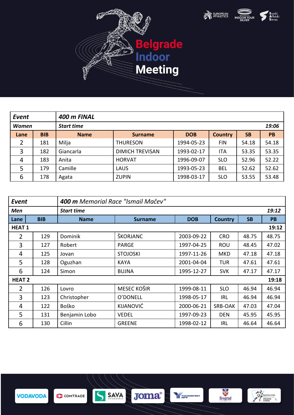

Beograd

**THE YUGOIMPORT** 

Republika Srbija<br>
MINISTARTIVO<br>
PISPORTA<br>
SPORTA





| Event        |            | 400 m FINAL       |                        |            |                |           |           |
|--------------|------------|-------------------|------------------------|------------|----------------|-----------|-----------|
| <b>Women</b> |            | <b>Start time</b> |                        |            |                |           | 19:06     |
| Lane         | <b>BIB</b> | <b>Name</b>       | <b>Surname</b>         | <b>DOB</b> | <b>Country</b> | <b>SB</b> | <b>PB</b> |
| 2            | 181        | Milja             | <b>THURESON</b>        | 1994-05-23 | <b>FIN</b>     | 54.18     | 54.18     |
| 3            | 182        | Giancarla         | <b>DIMICH TREVISAN</b> | 1993-02-17 | <b>ITA</b>     | 53.35     | 53.35     |
| 4            | 183        | Anita             | <b>HORVAT</b>          | 1996-09-07 | <b>SLO</b>     | 52.96     | 52.22     |
| 5            | 179        | Camille           | LAUS                   | 1993-05-23 | <b>BEL</b>     | 52.62     | 52.62     |
| 6            | 178        | Agata             | <b>ZUPIN</b>           | 1998-03-17 | <b>SLO</b>     | 53.55     | 53.48     |

| Event          |            | 400 m Memorial Race "Ismail Mačey" |                 |            |                |           |       |
|----------------|------------|------------------------------------|-----------------|------------|----------------|-----------|-------|
| Men            |            | <b>Start time</b>                  |                 |            |                |           | 19:12 |
| Lane           | <b>BIB</b> | <b>Name</b>                        | <b>Surname</b>  | <b>DOB</b> | <b>Country</b> | <b>SB</b> | PB    |
| <b>HEAT 1</b>  |            |                                    |                 |            |                |           | 19:12 |
| $\overline{2}$ | 129        | Dominik                            | ŠKORJANC        | 2003-09-22 | <b>CRO</b>     | 48.75     | 48.75 |
| 3              | 127        | Robert                             | <b>PARGE</b>    | 1997-04-25 | <b>ROU</b>     | 48.45     | 47.02 |
| 4              | 125        | Jovan                              | <b>STOJOSKI</b> | 1997-11-26 | <b>MKD</b>     | 47.18     | 47.18 |
| 5              | 128        | Oguzhan                            | <b>KAYA</b>     | 2001-04-04 | <b>TUR</b>     | 47.61     | 47.61 |
| 6              | 124        | Simon                              | <b>BUJNA</b>    | 1995-12-27 | <b>SVK</b>     | 47.17     | 47.17 |
| <b>HEAT 2</b>  |            |                                    |                 |            |                |           | 19:18 |
| 2              | 126        | Lovro                              | MESEC KOŠIR     | 1999-08-11 | <b>SLO</b>     | 46.94     | 46.94 |
| 3              | 123        | Christopher                        | O'DONELL        | 1998-05-17 | <b>IRL</b>     | 46.94     | 46.94 |
| 4              | 122        | Boško                              | KIJANOVIĆ       | 2000-06-21 | SRB-OAK        | 47.03     | 47.04 |
| 5              | 131        | Benjamin Lobo                      | <b>VEDEL</b>    | 1997-09-23 | <b>DEN</b>     | 45.95     | 45.95 |
| 6              | 130        | Cillin                             | <b>GREENE</b>   | 1998-02-12 | <b>IRL</b>     | 46.64     | 46.64 |

Joma®



 $\overline{S}$ 

COMTRADE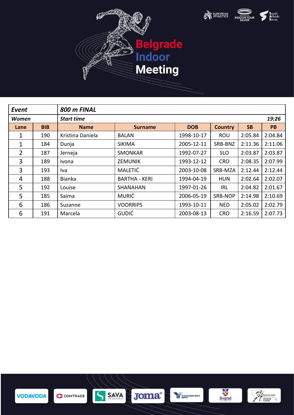





| Event          |            | 800 m FINAL       |                      |            |                |           |           |
|----------------|------------|-------------------|----------------------|------------|----------------|-----------|-----------|
| <b>Women</b>   |            | <b>Start time</b> |                      |            |                |           | 19:26     |
| Lane           | <b>BIB</b> | <b>Name</b>       | <b>Surname</b>       | <b>DOB</b> | <b>Country</b> | <b>SB</b> | <b>PB</b> |
| 1              | 190        | Kristina Daniela  | BALAN                | 1998-10-17 | <b>ROU</b>     | 2:05.84   | 2:04.84   |
| 1              | 184        | Dunja             | <b>SIKIMA</b>        | 2005-12-11 | SRB-BNZ        | 2:11.36   | 2:11.06   |
| $\overline{2}$ | 187        | Jerneja           | <b>SMONKAR</b>       | 1992-07-27 | <b>SLO</b>     | 2:03.87   | 2:03.87   |
| 3              | 189        | <i>Ivona</i>      | <b>ZEMUNIK</b>       | 1993-12-12 | <b>CRO</b>     | 2:08.35   | 2:07.99   |
| 3              | 193        | Iva               | <b>MALETIĆ</b>       | 2003-10-08 | SRB-MZA        | 2:12.44   | 2:12.44   |
| 4              | 188        | <b>Bianka</b>     | <b>BARTHA - KERI</b> | 1994-04-19 | <b>HUN</b>     | 2:02.64   | 2:02.07   |
| 5              | 192        | Louise            | <b>SHANAHAN</b>      | 1997-01-26 | IRL            | 2:04.82   | 2:01.67   |
| 5              | 185        | Saima             | <b>MURIĆ</b>         | 2006-05-19 | SRB-NOP        | 2:14.98   | 2:10.69   |
| 6              | 186        | Suzanne           | <b>VOORRIPS</b>      | 1993-10-11 | <b>NED</b>     | 2:05.02   | 2:02.79   |
| 6              | 191        | Marcela           | <b>GUDIĆ</b>         | 2003-08-13 | <b>CRO</b>     | 2:16.59   | 2:07.73   |